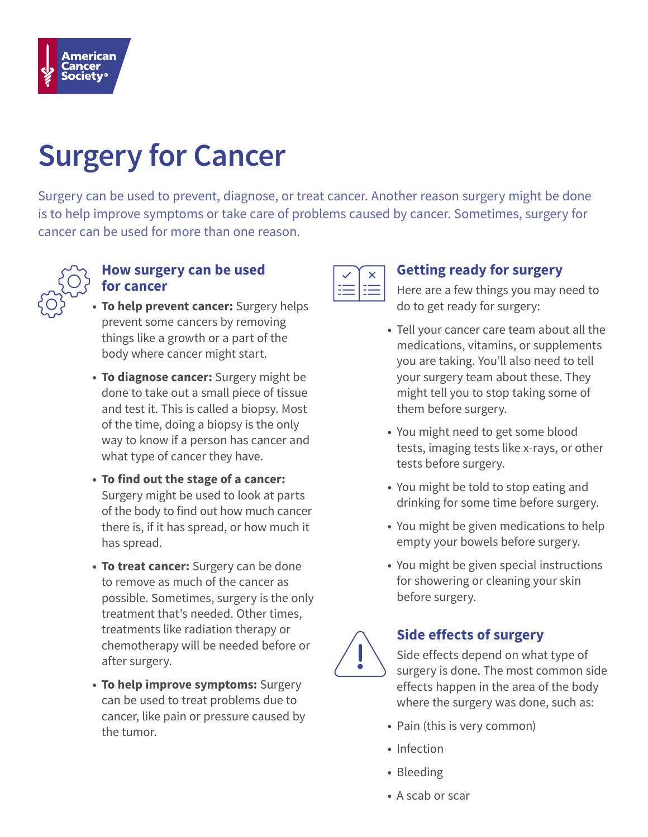

# **Surgery for Cancer**

Surgery can be used to prevent, diagnose, or treat cancer. Another reason surgery might be done is to help improve symptoms or take care of problems caused by cancer. Sometimes, surgery for cancer can be used for more than one reason.



#### **How surgery can be used for cancer**

- **To help prevent cancer:** Surgery helps prevent some cancers by removing things like a growth or a part of the body where cancer might start.
- **To diagnose cancer:** Surgery might be done to take out a small piece of tissue and test it. This is called a biopsy. Most of the time, doing a biopsy is the only way to know if a person has cancer and what type of cancer they have.
- **To find out the stage of a cancer:** Surgery might be used to look at parts of the body to find out how much cancer there is, if it has spread, or how much it has spread.
- **To treat cancer:** Surgery can be done to remove as much of the cancer as possible. Sometimes, surgery is the only treatment that's needed. Other times, treatments like radiation therapy or chemotherapy will be needed before or after surgery.
- **To help improve symptoms:** Surgery can be used to treat problems due to cancer, like pain or pressure caused by the tumor.



## **Getting ready for surgery**

Here are a few things you may need to do to get ready for surgery:

- Tell your cancer care team about all the medications, vitamins, or supplements you are taking. You'll also need to tell your surgery team about these. They might tell you to stop taking some of them before surgery.
- You might need to get some blood tests, imaging tests like x-rays, or other tests before surgery.
- You might be told to stop eating and drinking for some time before surgery.
- You might be given medications to help empty your bowels before surgery.
- You might be given special instructions for showering or cleaning your skin before surgery.



## **Side effects of surgery**

Side effects depend on what type of surgery is done. The most common side effects happen in the area of the body where the surgery was done, such as:

- Pain (this is very common)
- Infection
- Bleeding
- A scab or scar